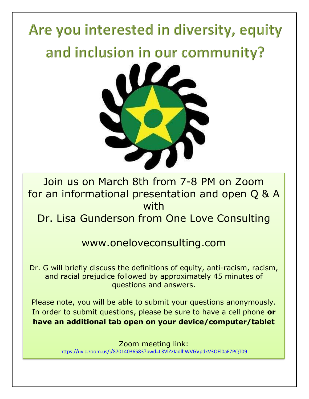

Join us on March 8th from 7-8 PM on Zoom for an informational presentation and open Q & A with

Dr. Lisa Gunderson from One Love Consulting

## www.oneloveconsulting.com

Dr. G will briefly discuss the definitions of equity, anti-racism, racism, and racial prejudice followed by approximately 45 minutes of questions and answers.

Please note, you will be able to submit your questions anonymously. In order to submit questions, please be sure to have a cell phone **or have an additional tab open on your device/computer/tablet**

> Zoom meeting link: <https://uvic.zoom.us/j/87014036583?pwd=L3VlZzJadlhWVGVpdkV3OEl0aEZPQT09>